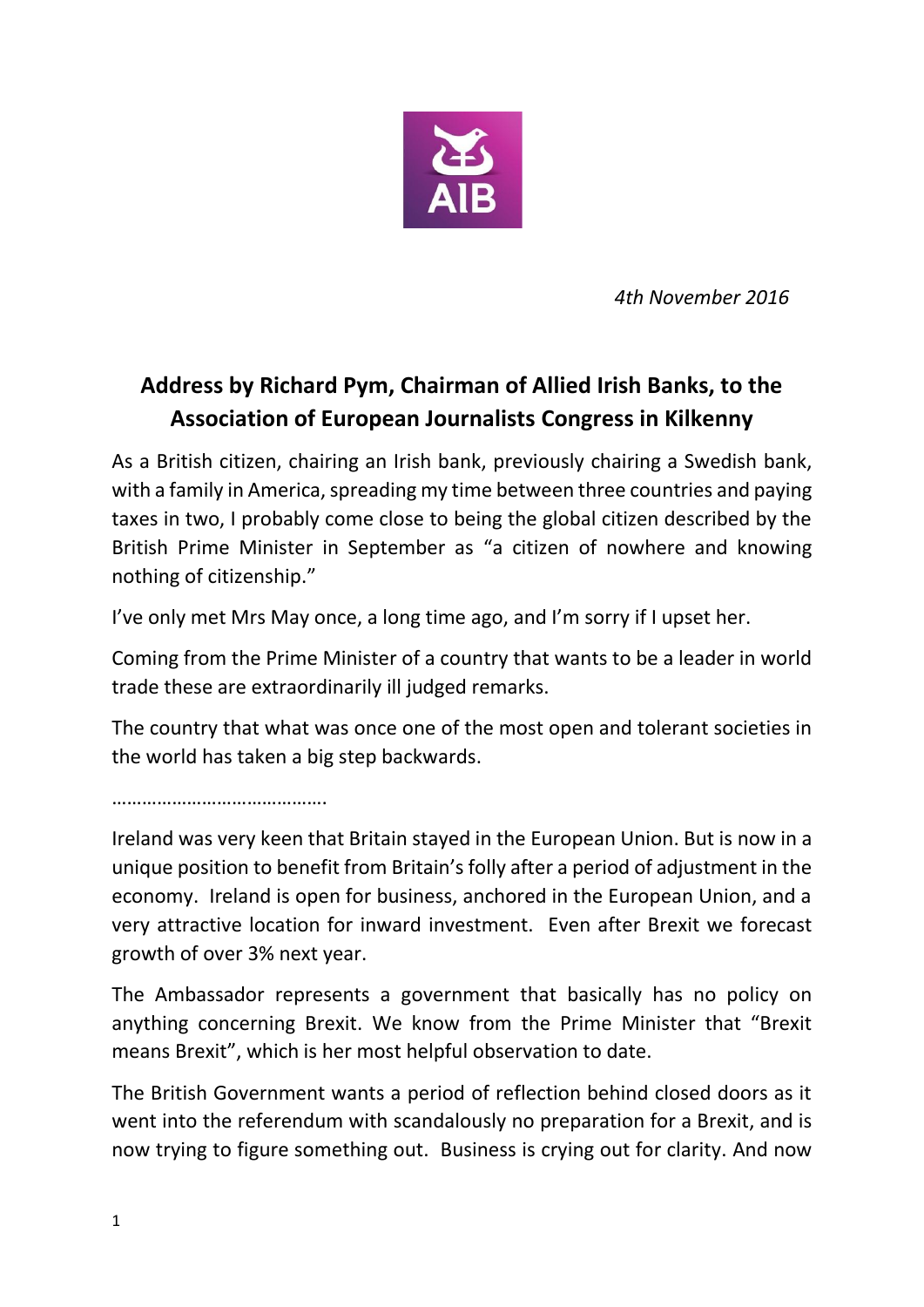

*4th November 2016*

## **Address by Richard Pym, Chairman of Allied Irish Banks, to the Association of European Journalists Congress in Kilkenny**

As a British citizen, chairing an Irish bank, previously chairing a Swedish bank, with a family in America, spreading my time between three countries and paying taxes in two, I probably come close to being the global citizen described by the British Prime Minister in September as "a citizen of nowhere and knowing nothing of citizenship."

I've only met Mrs May once, a long time ago, and I'm sorry if I upset her.

Coming from the Prime Minister of a country that wants to be a leader in world trade these are extraordinarily ill judged remarks.

The country that what was once one of the most open and tolerant societies in the world has taken a big step backwards.

…………………………………….

Ireland was very keen that Britain stayed in the European Union. But is now in a unique position to benefit from Britain's folly after a period of adjustment in the economy. Ireland is open for business, anchored in the European Union, and a very attractive location for inward investment. Even after Brexit we forecast growth of over 3% next year.

The Ambassador represents a government that basically has no policy on anything concerning Brexit. We know from the Prime Minister that "Brexit means Brexit", which is her most helpful observation to date.

The British Government wants a period of reflection behind closed doors as it went into the referendum with scandalously no preparation for a Brexit, and is now trying to figure something out. Business is crying out for clarity. And now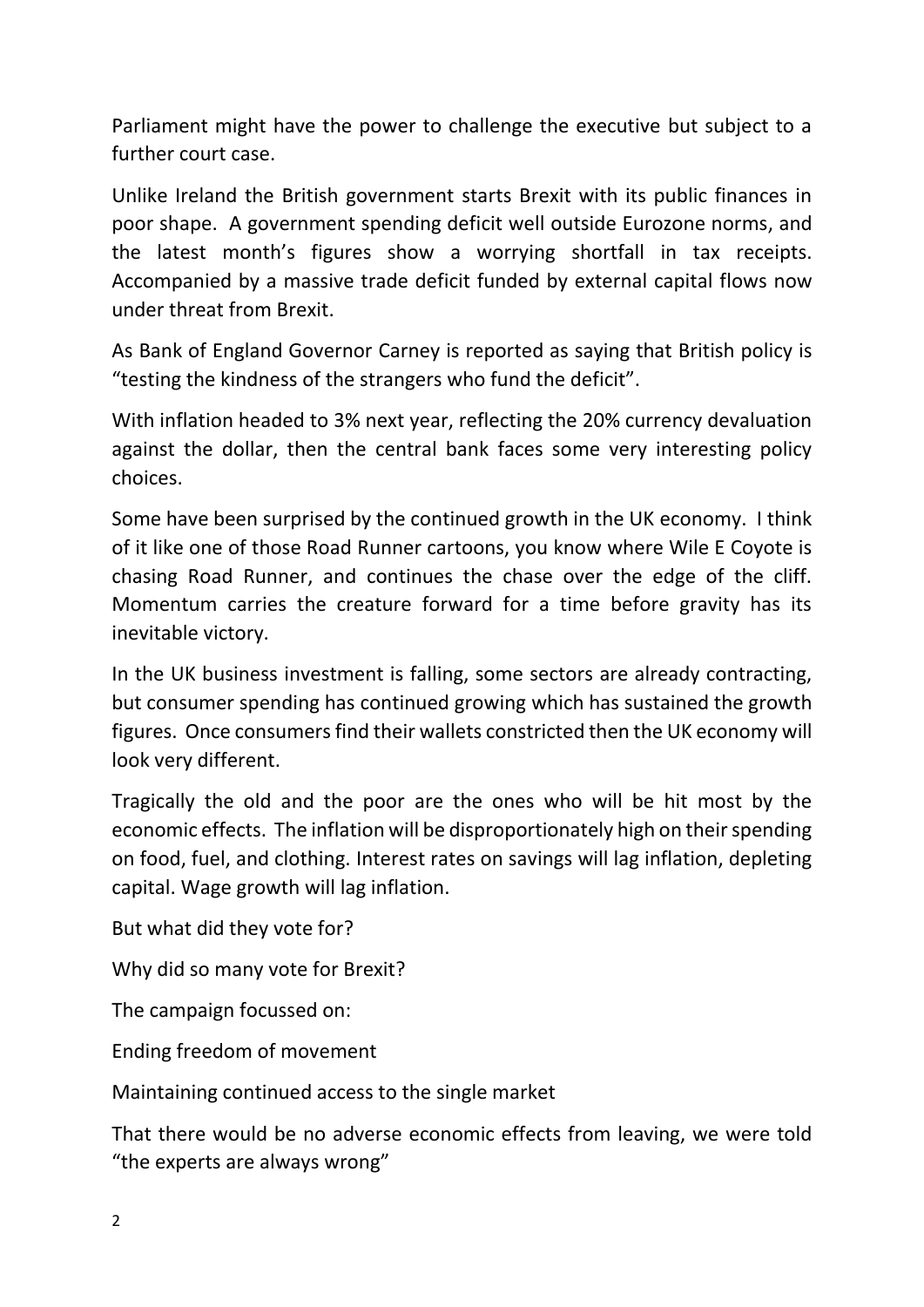Parliament might have the power to challenge the executive but subject to a further court case.

Unlike Ireland the British government starts Brexit with its public finances in poor shape. A government spending deficit well outside Eurozone norms, and the latest month's figures show a worrying shortfall in tax receipts. Accompanied by a massive trade deficit funded by external capital flows now under threat from Brexit.

As Bank of England Governor Carney is reported as saying that British policy is "testing the kindness of the strangers who fund the deficit".

With inflation headed to 3% next year, reflecting the 20% currency devaluation against the dollar, then the central bank faces some very interesting policy choices.

Some have been surprised by the continued growth in the UK economy. I think of it like one of those Road Runner cartoons, you know where Wile E Coyote is chasing Road Runner, and continues the chase over the edge of the cliff. Momentum carries the creature forward for a time before gravity has its inevitable victory.

In the UK business investment is falling, some sectors are already contracting, but consumer spending has continued growing which has sustained the growth figures. Once consumers find their wallets constricted then the UK economy will look very different.

Tragically the old and the poor are the ones who will be hit most by the economic effects. The inflation will be disproportionately high on their spending on food, fuel, and clothing. Interest rates on savings will lag inflation, depleting capital. Wage growth will lag inflation.

But what did they vote for?

Why did so many vote for Brexit?

The campaign focussed on:

Ending freedom of movement

Maintaining continued access to the single market

That there would be no adverse economic effects from leaving, we were told "the experts are always wrong"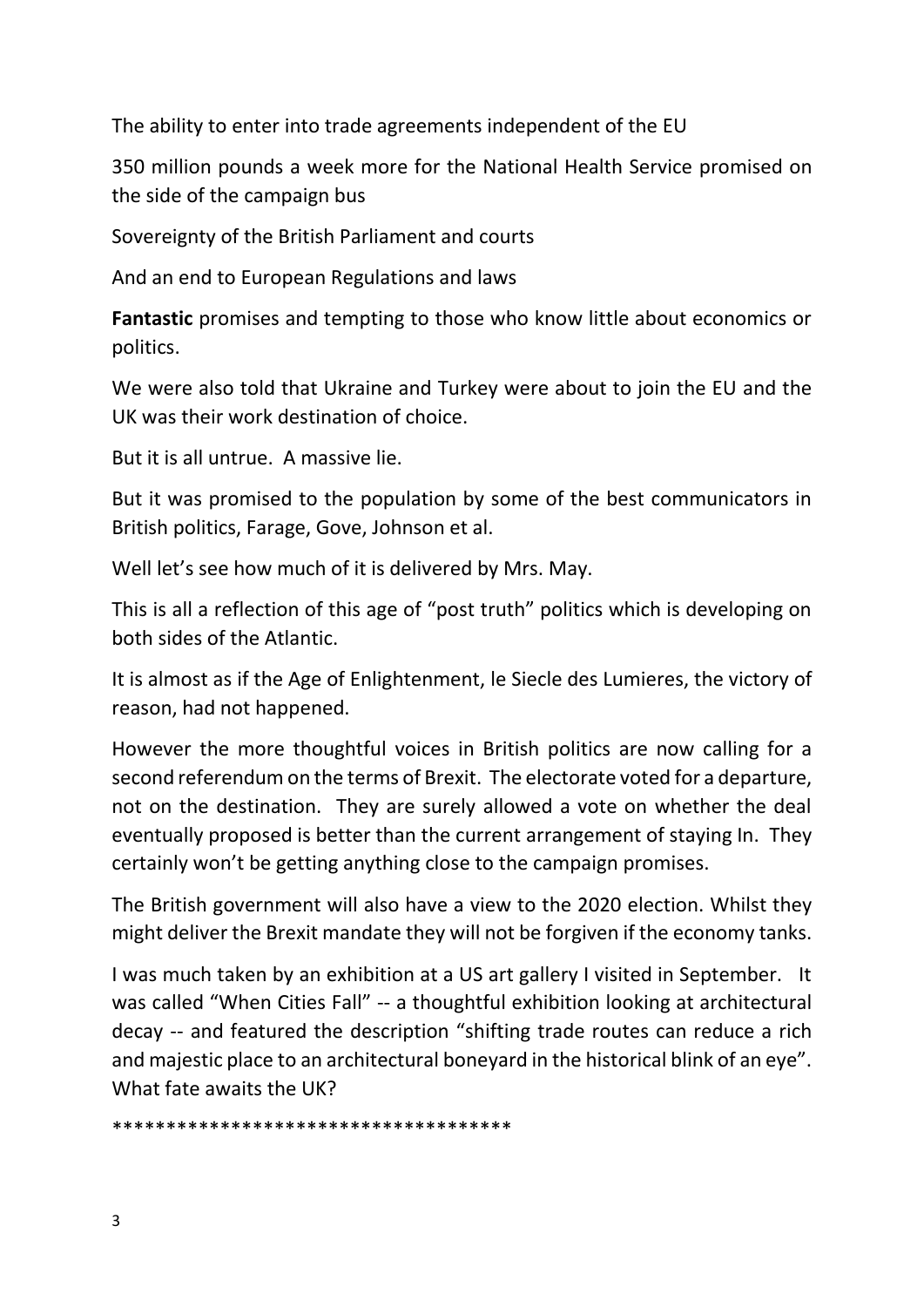The ability to enter into trade agreements independent of the EU

350 million pounds a week more for the National Health Service promised on the side of the campaign bus

Sovereignty of the British Parliament and courts

And an end to European Regulations and laws

**Fantastic** promises and tempting to those who know little about economics or politics.

We were also told that Ukraine and Turkey were about to join the EU and the UK was their work destination of choice.

But it is all untrue. A massive lie.

But it was promised to the population by some of the best communicators in British politics, Farage, Gove, Johnson et al.

Well let's see how much of it is delivered by Mrs. May.

This is all a reflection of this age of "post truth" politics which is developing on both sides of the Atlantic.

It is almost as if the Age of Enlightenment, le Siecle des Lumieres, the victory of reason, had not happened.

However the more thoughtful voices in British politics are now calling for a second referendum on the terms of Brexit. The electorate voted for a departure, not on the destination. They are surely allowed a vote on whether the deal eventually proposed is better than the current arrangement of staying In. They certainly won't be getting anything close to the campaign promises.

The British government will also have a view to the 2020 election. Whilst they might deliver the Brexit mandate they will not be forgiven if the economy tanks.

I was much taken by an exhibition at a US art gallery I visited in September. It was called "When Cities Fall" -- a thoughtful exhibition looking at architectural decay -- and featured the description "shifting trade routes can reduce a rich and majestic place to an architectural boneyard in the historical blink of an eye". What fate awaits the UK?

\*\*\*\*\*\*\*\*\*\*\*\*\*\*\*\*\*\*\*\*\*\*\*\*\*\*\*\*\*\*\*\*\*\*\*\*\*